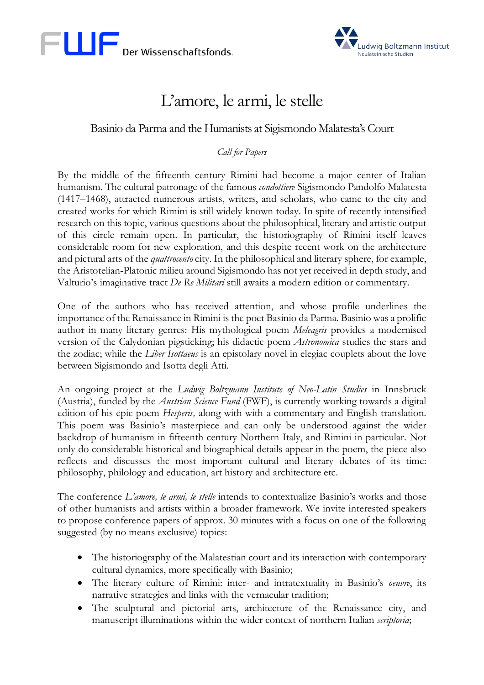



## L'amore, le armi, le stelle

## Basinio da Parma and the Humanists at Sigismondo Malatesta's Court

## *Call for Papers*

By the middle of the fifteenth century Rimini had become a major center of Italian humanism. The cultural patronage of the famous *condottiere* Sigismondo Pandolfo Malatesta (1417–1468), attracted numerous artists, writers, and scholars, who came to the city and created works for which Rimini is still widely known today. In spite of recently intensified research on this topic, various questions about the philosophical, literary and artistic output of this circle remain open. In particular, the historiography of Rimini itself leaves considerable room for new exploration, and this despite recent work on the architecture and pictural arts of the *quattrocento* city. In the philosophical and literary sphere, for example, the Aristotelian-Platonic milieu around Sigismondo has not yet received in depth study, and Valturio's imaginative tract *De Re Militari* still awaits a modern edition or commentary.

One of the authors who has received attention, and whose profile underlines the importance of the Renaissance in Rimini is the poet Basinio da Parma. Basinio was a prolific author in many literary genres: His mythological poem *Meleagris* provides a modernised version of the Calydonian pigsticking; his didactic poem *Astronomica* studies the stars and the zodiac; while the *Liber Isottaeus* is an epistolary novel in elegiac couplets about the love between Sigismondo and Isotta degli Atti.

An ongoing project at the *Ludwig Boltzmann Institute of Neo-Latin Studies* in Innsbruck (Austria), funded by the *Austrian Science Fund* (FWF), is currently working towards a digital edition of his epic poem *Hesperis,* along with with a commentary and English translation. This poem was Basinio's masterpiece and can only be understood against the wider backdrop of humanism in fifteenth century Northern Italy, and Rimini in particular. Not only do considerable historical and biographical details appear in the poem, the piece also reflects and discusses the most important cultural and literary debates of its time: philosophy, philology and education, art history and architecture etc.

The conference *L'amore, le armi, le stelle* intends to contextualize Basinio's works and those of other humanists and artists within a broader framework. We invite interested speakers to propose conference papers of approx. 30 minutes with a focus on one of the following suggested (by no means exclusive) topics:

- The historiography of the Malatestian court and its interaction with contemporary cultural dynamics, more specifically with Basinio;
- The literary culture of Rimini: inter- and intratextuality in Basinio's *oeuvre*, its narrative strategies and links with the vernacular tradition;
- The sculptural and pictorial arts, architecture of the Renaissance city, and manuscript illuminations within the wider context of northern Italian *scriptoria*;